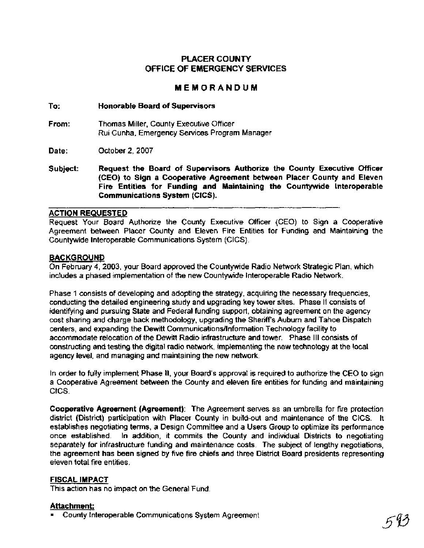# **PLACER COUNTY OFFICE OF EMERGENCY SERVICES**

# **MEMORANDUM**

# **To: Honorable Board of Supervisors**

**From:** Thomas Miller, County Executive Officer Rui Cunha, Emergency Services Program Manager

**Date:** October 2,2007

**Subject: Request the Board of Supervisors Authorize the County Executive Officer (CEO) to Sign a Cooperative Agreement between Placer County and Eleven Fire Entities for Funding and Maintaining the Countywide lnteroperable Communications System (CICS).** 

#### **ACTION REQUESTED**

Request Your Board Authorize the County Executive Officer (CEO) to Sign a Cooperative Agreement between Placer County and Eleven Fire Entities for Funding and Maintaining the Countywide lnteroperable Communications System (CICS).

# **BACKGROUND**

On February **4,** 2003, your Board approved the Countywide Radio Network Strategic Plan, which includes a phased implementation of the new Countywide lnteroperable Radio Network.

Phase 1 consists of developing and adopting the strategy, acquiring the necessary frequencies, conducting the detailed engineering study and upgrading key tower sites. Phase **II** consists of identifying and pursuing State and Federal funding support, obtaining agreement on the agency cost sharing and charge back methodology, upgrading the Sheriffs Auburn and Tahoe Dispatch centers, and expanding the Dewitt **Communications/lnformation** Technology facility to accommodate relocation of the Dewitt Radio infrastructure and tower. Phase Ill consists of constructing and testing the digital radio network, implementing the new technology at the local agency level, and managing and maintaining the new network.

In order to fully implement Phase II, your Board's approval is required to authorize the CEO to sign a Cooperative Agreement between the County and eleven fire entities for funding and maintaining CICS.

**Cooperative Agreement (Agreement):** The Agreement serves as an umbrella for fire protection district (District) participation with Placer County in build-out and maintenance of the CICS. It establishes negotiating terms, a Design Committee and a Users Group to optimize its performance once established. In addition, it commits the County and individual Districts to negotiating separately for infrastructure funding and maintenance costs. The subject of lengthy negotiations, the agreement has been signed by five fire chiefs and three District Board presidents representing eieven total fire entities.

#### **FISCAL IMPACT**

This action has no impact on the General Fund.

# **Attachment:**

County lnteroperable Communications System Agreement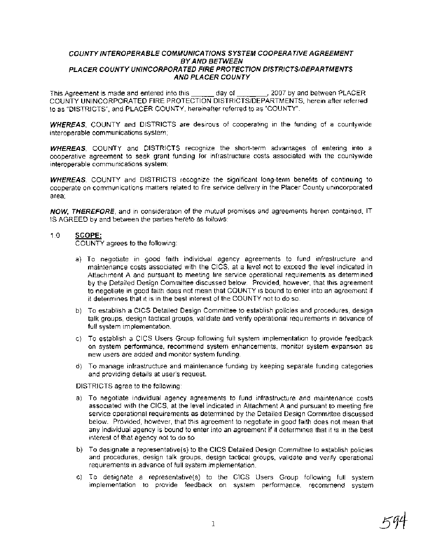#### **COUNTY INTEROPERABLE COMMUNICATIONS SYSTEM COOPERATIVE AGREEMENT BY AND BETWEEN PLACER COUNTY UNINCORPORATED FlRE PROTECTION DISTRICTS/DEPARTMENTS AND PLACER COUNTY**

This Agreement is made and entered into this day of , 2007 by and between PLACER COUNTY UNINCORPORATED FlRE PROTECTION DISTRICTSIDEPARTMENTS, herein after referred to as "DISTRICTS", and PLACER COUNTY, hereinafter referred to as "COUNTY".

**WHEREAS,** COUNTY and DISTRICTS are desirous of cooperating in the funding of a countywide interoperable communications system;

**WHEREAS,** COUNTY and DISTRICTS recognize the short-term advantages of entering into a cooperative agreement to seek grant funding for infrastructure costs associated with the countywide interoperable communications system;

**WHEREAS,** COUNTY and DISTRICTS recognize the significant long-term benefits of continuing to cooperate on communications matters related to fire service delivery in the Placer County unincorporated area;

**NOW, THEREFORE,** and in consideration of the mutual promises and agreements herein contained, IT IS AGREED by and between the parties hereto as follows:

#### 1.0 **SCOPE:**

COUNTY agrees to the following:

- a) To negotiate in good faith individual agency agreements to fund infrastructure and maintenance costs associated with the CICS, at a level not to exceed the level indicated in Attachment A and pursuant to meeting fire service operational requirements as determined by the Detailed Design Committee discussed below. Provided, however, that this agreement to negotiate in good faith does not mean that COUNTY is bound to enter into an agreement if it determines that it is in the best interest of the COUNTY not to do so.
- b) To establish a CICS Detailed Design Committee to establish policies and procedures, design talk groups, design tactical groups, validate and verify operational requirements in advance of full system implementation.
- c) To establish a CICS Users Group following full system implementation to provide feedback on system performance, recommend system enhancements, monitor system expansion as new users are added and monitor system funding.
- d) To manage infrastructure and maintenance funding by keeping separate funding categories and providing details at user's request.

DISTRICTS agree to the following:

- a) To negotiate individual agency agreements to fund infrastructure and maintenance costs associated with the CICS, at the level indicated in Attachment A and pursuant to meeting fire service operational requirements as determined by the Detailed Design Committee discussed below. Provided, however, that this agreement to negotiate in good faith does not mean that any individual agency is bound to enter into an agreement if it determines that it is in the best interest of that agency not to do so.
- b) To designate a representative(s) to the CICS Detailed Design Committee to establish policies and procedures, design talk groups, design tactical groups, validate and verify operational requirements in advance of full system implementation.
- c) To designate a representative(s) to the CICS Users Group following full system implementation to provide feedback on system performance, recommend system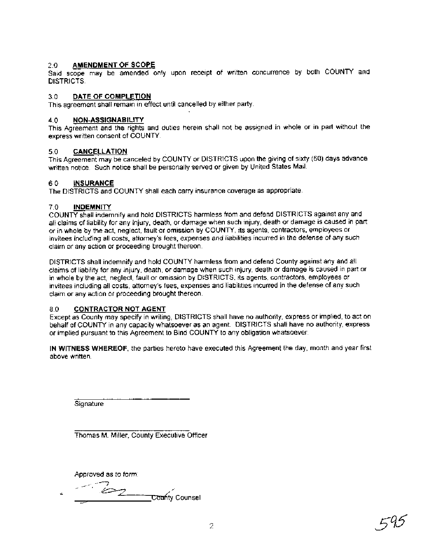### 2.0 **AMENDMENT OF SCOPE**

Said scope may be amended only upon receipt of written concurrence by both COUNTY and DISTRICTS.

#### 3.0 **DATE OF COMPLETION**

This agreement shall remain in effect until cancelled by either party.

#### **4.0 NON-ASSIGNABILITY**

This Agreement and the rights and duties herein shall not be assigned in whole or in part without the express written consent of COUNTY.

#### **5.0 CANCELLATION**

This Agreement may be canceled by COUNTY or DISTRICTS upon the giving of sixty (60) days advance written notice. Such notice shall be personally served or given by United States Mail.

#### **6.0 INSURANCE**

The DISTRICTS and COUNTY shall each carry insurance coverage as appropriate.

#### 7.0 **INDEMNITY**

COUNTY shall indemnify and hold DISTRICTS harmless from and defend DISTRICTS against any and all claims of liability for any injury, death, or damage when such injury, death or damage is caused in part or in whole by the act, neglect, fault or omission by COUNTY, its agents, contractors, employees or invitees including all costs, attorney's fees, expenses and liabilities incurred in the defense of any such claim or any action or proceeding brought thereon.

DISTRICTS shall indemnify and hold COUNTY harmless from and defend County against any and all claims of liability for any injury, death, or damage when such injury, death or damage is caused in part or in whole by the act, neglect, fault or omission by DISTRICTS, its agents, contractors, employees or invitees including all costs, attorney's fees, expenses and liabilities incurred in the defense of any such claim or any action or proceeding brought thereon.

# 8.0 **CONTRACTOR NOT AGENT**

Except as County may specify in writing, DISTRICTS shall have no authority, express or implied, to act on behalf of COUNTY in any capacity whatsoever as an agent. DISTRICTS shall have no authority, express or implied pursuant to this Agreement to Bind COUNTY to any obligation whatsoever.

**IN WITNESS WHEREOF,** the parties hereto have executed this Agreement the day, month and year first above written.

**Signature** 

Thomas M. Miller, County Executive Officer

Approved **as** to form: .-

 $\cdot$   $\sim$   $\epsilon$ <sub>2</sub> **County Counsel**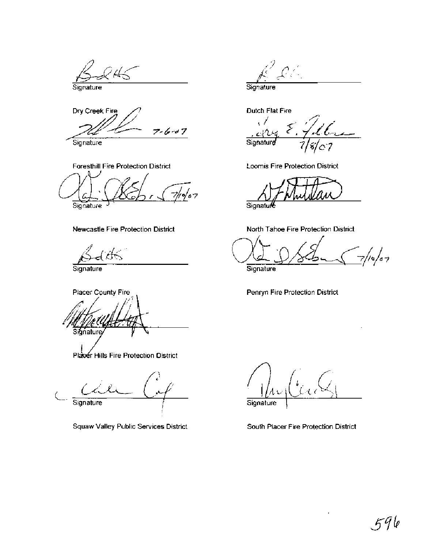$\cancel{4}$ 

Signature

Dry Creek Fire  $7 - 6 - 0.7$ 

Signature

Foresthill Fire Protection District  $\sigma/\sigma$ 7

Signature

# Newcastle Fire Protection District

Signature

Placer County Fire Signature

Plaser Hills Fire Protection District

Signature

**Squaw Valley Public Services District** 

Signature

**Dutch Flat Fire** 

Signature с7

Loomis Fire Protection District

Signatu

North Tahoe Fire Protection District

 $/$ o $/$ o $\tau$ 

Signature

Penryn Fire Protection District

Signature

South Placer Fire Protection District

÷,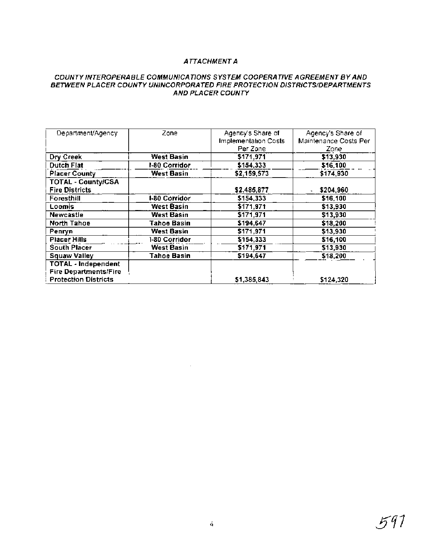# **ATTACHMENT A**

### **COUNTY INTEROPERABLE COMMUNICATIONS SYSTEM COOPERATIVE AGREEMENT BY AND BETWEEN PLACER COUNTY UNINCORPORATED FIRE PROTECTION DISTRICTS/DEPARTMENTS AND PLACER COUNTY**

| Department/Agency            | Zone               | Agency's Share of    | Agency's Share of     |
|------------------------------|--------------------|----------------------|-----------------------|
|                              |                    | Implementation Costs | Maintenance Costs Per |
|                              |                    | Per Zone             | Zone                  |
| Dry Creek                    | <b>West Basin</b>  | \$171,971            | \$13,930              |
| <b>Dutch Flat</b>            | 1-80 Corridor      | \$154,333            | \$16,100              |
| <b>Placer County</b>         | <b>West Basin</b>  | \$2,159,573          | \$174,930             |
| <b>TOTAL - County/CSA</b>    |                    |                      |                       |
| <b>Fire Districts</b>        |                    | \$2,485,877          | \$204,960             |
| Foresthill                   | I-80 Corridor      | \$154,333            | \$16,100              |
| Loomis                       | West Basin         | \$171,971            | \$13,930              |
| <b>Newcastle</b>             | West Basin         | \$171,971            | \$13,930              |
| North Tahoe                  | Tahoe Basin        | \$194,647            | \$18,200              |
| Penryn                       | West Basin         | \$171.971            | \$13,930              |
| <b>Placer Hills</b>          | 1-80 Corridor      | \$154,333            | \$16,100              |
| South Placer                 | <b>West Basin</b>  | \$171,971            | \$13,930              |
| <b>Squaw Valley</b>          | <b>Tahoe Basin</b> | \$194,647            | \$18,200              |
| <b>TOTAL - Independent</b>   |                    |                      |                       |
| <b>Fire Departments/Fire</b> |                    |                      |                       |
| <b>Protection Districts</b>  |                    | \$1,385,843          | \$124,320             |

 $\sim 10^7$